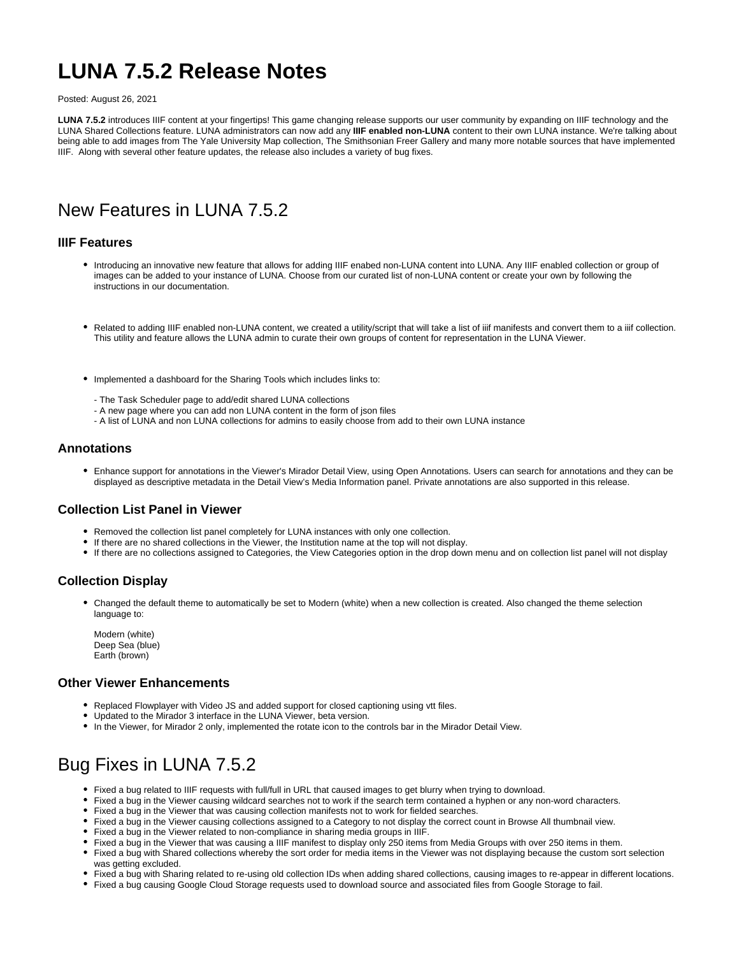# **LUNA 7.5.2 Release Notes**

Posted: August 26, 2021

**LUNA 7.5.2** introduces IIIF content at your fingertips! This game changing release supports our user community by expanding on IIIF technology and the LUNA Shared Collections feature. LUNA administrators can now add any **IIIF enabled non-LUNA** content to their own LUNA instance. We're talking about being able to add images from The Yale University Map collection, The Smithsonian Freer Gallery and many more notable sources that have implemented IIIF. Along with several other feature updates, the release also includes a variety of bug fixes.

# New Features in LUNA 7.5.2

### **IIIF Features**

- Introducing an innovative new feature that allows for adding IIIF enabed non-LUNA content into LUNA. Any IIIF enabled collection or group of images can be added to your instance of LUNA. Choose from our curated list of non-LUNA content or create your own by following the instructions in our documentation.
- Related to adding IIIF enabled non-LUNA content, we created a utility/script that will take a list of iiif manifests and convert them to a iiif collection. This utility and feature allows the LUNA admin to curate their own groups of content for representation in the LUNA Viewer.
- Implemented a dashboard for the Sharing Tools which includes links to:
	- The Task Scheduler page to add/edit shared LUNA collections
	- A new page where you can add non LUNA content in the form of json files
	- A list of LUNA and non LUNA collections for admins to easily choose from add to their own LUNA instance

### **Annotations**

Enhance support for annotations in the Viewer's Mirador Detail View, using Open Annotations. Users can search for annotations and they can be displayed as descriptive metadata in the Detail View's Media Information panel. Private annotations are also supported in this release.

#### **Collection List Panel in Viewer**

- Removed the collection list panel completely for LUNA instances with only one collection.
- If there are no shared collections in the Viewer, the Institution name at the top will not display.
- If there are no collections assigned to Categories, the View Categories option in the drop down menu and on collection list panel will not display

## **Collection Display**

Changed the default theme to automatically be set to Modern (white) when a new collection is created. Also changed the theme selection language to:

Modern (white) Deep Sea (blue) Earth (brown)

#### **Other Viewer Enhancements**

- Replaced Flowplayer with Video JS and added support for closed captioning using vtt files.
- Updated to the Mirador 3 interface in the LUNA Viewer, beta version.
- In the Viewer, for Mirador 2 only, implemented the rotate icon to the controls bar in the Mirador Detail View.

# Bug Fixes in LUNA 7.5.2

- Fixed a bug related to IIIF requests with full/full in URL that caused images to get blurry when trying to download.
- Fixed a bug in the Viewer causing wildcard searches not to work if the search term contained a hyphen or any non-word characters.
- Fixed a bug in the Viewer that was causing collection manifests not to work for fielded searches.
- Fixed a bug in the Viewer causing collections assigned to a Category to not display the correct count in Browse All thumbnail view.
- Fixed a bug in the Viewer related to non-compliance in sharing media groups in IIIF.
- Fixed a bug in the Viewer that was causing a IIIF manifest to display only 250 items from Media Groups with over 250 items in them.
- Fixed a bug with Shared collections whereby the sort order for media items in the Viewer was not displaying because the custom sort selection was getting excluded.
- Fixed a bug with Sharing related to re-using old collection IDs when adding shared collections, causing images to re-appear in different locations.
- Fixed a bug causing Google Cloud Storage requests used to download source and associated files from Google Storage to fail.